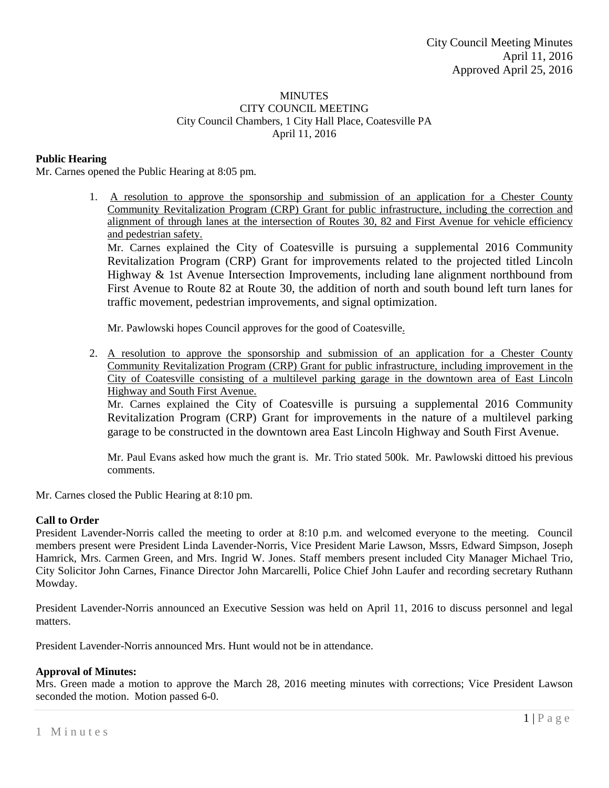## **MINUTES** CITY COUNCIL MEETING City Council Chambers, 1 City Hall Place, Coatesville PA April 11, 2016

# **Public Hearing**

Mr. Carnes opened the Public Hearing at 8:05 pm.

1. A resolution to approve the sponsorship and submission of an application for a Chester County Community Revitalization Program (CRP) Grant for public infrastructure, including the correction and alignment of through lanes at the intersection of Routes 30, 82 and First Avenue for vehicle efficiency and pedestrian safety.

Mr. Carnes explained the City of Coatesville is pursuing a supplemental 2016 Community Revitalization Program (CRP) Grant for improvements related to the projected titled Lincoln Highway & 1st Avenue Intersection Improvements, including lane alignment northbound from First Avenue to Route 82 at Route 30, the addition of north and south bound left turn lanes for traffic movement, pedestrian improvements, and signal optimization.

Mr. Pawlowski hopes Council approves for the good of Coatesville.

2. A resolution to approve the sponsorship and submission of an application for a Chester County Community Revitalization Program (CRP) Grant for public infrastructure, including improvement in the City of Coatesville consisting of a multilevel parking garage in the downtown area of East Lincoln Highway and South First Avenue.

Mr. Carnes explained the City of Coatesville is pursuing a supplemental 2016 Community Revitalization Program (CRP) Grant for improvements in the nature of a multilevel parking garage to be constructed in the downtown area East Lincoln Highway and South First Avenue.

Mr. Paul Evans asked how much the grant is. Mr. Trio stated 500k. Mr. Pawlowski dittoed his previous comments.

Mr. Carnes closed the Public Hearing at 8:10 pm.

# **Call to Order**

President Lavender-Norris called the meeting to order at 8:10 p.m. and welcomed everyone to the meeting. Council members present were President Linda Lavender-Norris, Vice President Marie Lawson, Mssrs, Edward Simpson, Joseph Hamrick, Mrs. Carmen Green, and Mrs. Ingrid W. Jones. Staff members present included City Manager Michael Trio, City Solicitor John Carnes, Finance Director John Marcarelli, Police Chief John Laufer and recording secretary Ruthann Mowday.

President Lavender-Norris announced an Executive Session was held on April 11, 2016 to discuss personnel and legal matters.

President Lavender-Norris announced Mrs. Hunt would not be in attendance.

# **Approval of Minutes:**

Mrs. Green made a motion to approve the March 28, 2016 meeting minutes with corrections; Vice President Lawson seconded the motion. Motion passed 6-0.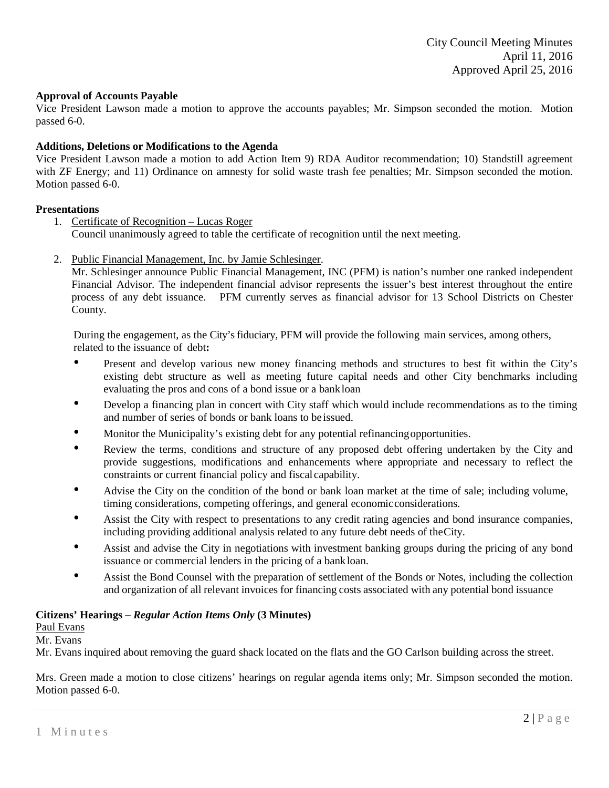## **Approval of Accounts Payable**

Vice President Lawson made a motion to approve the accounts payables; Mr. Simpson seconded the motion. Motion passed 6-0.

## **Additions, Deletions or Modifications to the Agenda**

Vice President Lawson made a motion to add Action Item 9) RDA Auditor recommendation; 10) Standstill agreement with ZF Energy; and 11) Ordinance on amnesty for solid waste trash fee penalties; Mr. Simpson seconded the motion. Motion passed 6-0.

## **Presentations**

- 1. Certificate of Recognition Lucas Roger Council unanimously agreed to table the certificate of recognition until the next meeting.
- 2. Public Financial Management, Inc. by Jamie Schlesinger.

Mr. Schlesinger announce Public Financial Management, INC (PFM) is nation's number one ranked independent Financial Advisor. The independent financial advisor represents the issuer's best interest throughout the entire process of any debt issuance. PFM currently serves as financial advisor for 13 School Districts on Chester County.

During the engagement, as the City's fiduciary, PFM will provide the following main services, among others, related to the issuance of debt**:**

- Present and develop various new money financing methods and structures to best fit within the City's existing debt structure as well as meeting future capital needs and other City benchmarks including evaluating the pros and cons of a bond issue or a bankloan
- Develop <sup>a</sup> financing plan in concert with City staff which would include recommendations as to the timing and number of series of bonds or bank loans to be issued.
- Monitor the Municipality's existing debt for any potential refinancingopportunities.
- Review the terms, conditions and structure of any proposed debt offering undertaken by the City and provide suggestions, modifications and enhancements where appropriate and necessary to reflect the constraints or current financial policy and fiscal capability.
- Advise the City on the condition of the bond or bank loan market at the time of sale; including volume, timing considerations, competing offerings, and general economicconsiderations.
- Assist the City with respect to presentations to any credit rating agencies and bond insurance companies, including providing additional analysis related to any future debt needs of theCity.
- Assist and advise the City in negotiations with investment banking groups during the pricing of any bond issuance or commercial lenders in the pricing of a bankloan.
- Assist the Bond Counsel with the preparation of settlement of the Bonds or Notes, including the collection and organization of all relevant invoices for financing costs associated with any potential bond issuance

### **Citizens' Hearings –** *Regular Action Items Only* **(3 Minutes)**

Paul Evans

Mr. Evans

Mr. Evans inquired about removing the guard shack located on the flats and the GO Carlson building across the street.

Mrs. Green made a motion to close citizens' hearings on regular agenda items only; Mr. Simpson seconded the motion. Motion passed 6-0.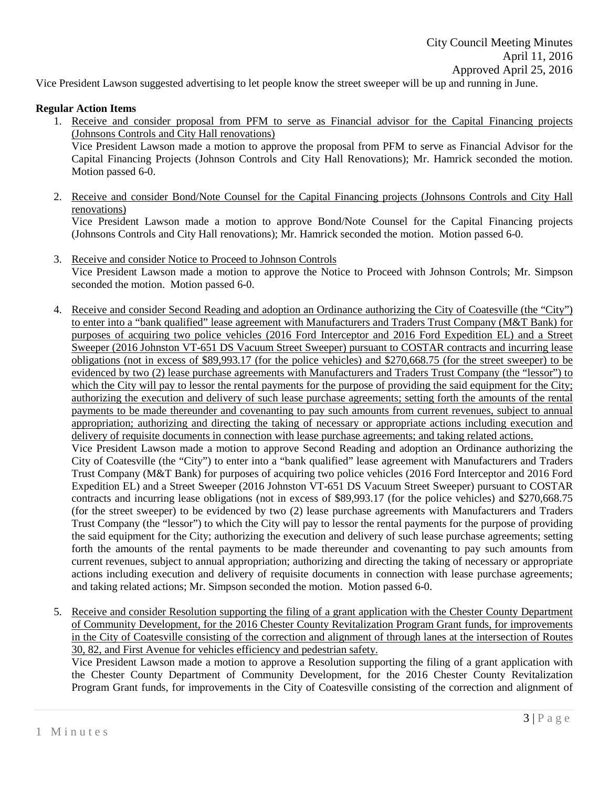Vice President Lawson suggested advertising to let people know the street sweeper will be up and running in June.

# **Regular Action Items**

- 1. Receive and consider proposal from PFM to serve as Financial advisor for the Capital Financing projects (Johnsons Controls and City Hall renovations) Vice President Lawson made a motion to approve the proposal from PFM to serve as Financial Advisor for the Capital Financing Projects (Johnson Controls and City Hall Renovations); Mr. Hamrick seconded the motion. Motion passed 6-0.
- 2. Receive and consider Bond/Note Counsel for the Capital Financing projects (Johnsons Controls and City Hall renovations) Vice President Lawson made a motion to approve Bond/Note Counsel for the Capital Financing projects

(Johnsons Controls and City Hall renovations); Mr. Hamrick seconded the motion. Motion passed 6-0.

- 3. Receive and consider Notice to Proceed to Johnson Controls Vice President Lawson made a motion to approve the Notice to Proceed with Johnson Controls; Mr. Simpson seconded the motion. Motion passed 6-0.
- 4. Receive and consider Second Reading and adoption an Ordinance authorizing the City of Coatesville (the "City") to enter into a "bank qualified" lease agreement with Manufacturers and Traders Trust Company (M&T Bank) for purposes of acquiring two police vehicles (2016 Ford Interceptor and 2016 Ford Expedition EL) and a Street Sweeper (2016 Johnston VT-651 DS Vacuum Street Sweeper) pursuant to COSTAR contracts and incurring lease obligations (not in excess of \$89,993.17 (for the police vehicles) and \$270,668.75 (for the street sweeper) to be evidenced by two (2) lease purchase agreements with Manufacturers and Traders Trust Company (the "lessor") to which the City will pay to lessor the rental payments for the purpose of providing the said equipment for the City; authorizing the execution and delivery of such lease purchase agreements; setting forth the amounts of the rental payments to be made thereunder and covenanting to pay such amounts from current revenues, subject to annual appropriation; authorizing and directing the taking of necessary or appropriate actions including execution and delivery of requisite documents in connection with lease purchase agreements; and taking related actions.

Vice President Lawson made a motion to approve Second Reading and adoption an Ordinance authorizing the City of Coatesville (the "City") to enter into a "bank qualified" lease agreement with Manufacturers and Traders Trust Company (M&T Bank) for purposes of acquiring two police vehicles (2016 Ford Interceptor and 2016 Ford Expedition EL) and a Street Sweeper (2016 Johnston VT-651 DS Vacuum Street Sweeper) pursuant to COSTAR contracts and incurring lease obligations (not in excess of \$89,993.17 (for the police vehicles) and \$270,668.75 (for the street sweeper) to be evidenced by two (2) lease purchase agreements with Manufacturers and Traders Trust Company (the "lessor") to which the City will pay to lessor the rental payments for the purpose of providing the said equipment for the City; authorizing the execution and delivery of such lease purchase agreements; setting forth the amounts of the rental payments to be made thereunder and covenanting to pay such amounts from current revenues, subject to annual appropriation; authorizing and directing the taking of necessary or appropriate actions including execution and delivery of requisite documents in connection with lease purchase agreements; and taking related actions; Mr. Simpson seconded the motion. Motion passed 6-0.

5. Receive and consider Resolution supporting the filing of a grant application with the Chester County Department of Community Development, for the 2016 Chester County Revitalization Program Grant funds, for improvements in the City of Coatesville consisting of the correction and alignment of through lanes at the intersection of Routes 30, 82, and First Avenue for vehicles efficiency and pedestrian safety.

Vice President Lawson made a motion to approve a Resolution supporting the filing of a grant application with the Chester County Department of Community Development, for the 2016 Chester County Revitalization Program Grant funds, for improvements in the City of Coatesville consisting of the correction and alignment of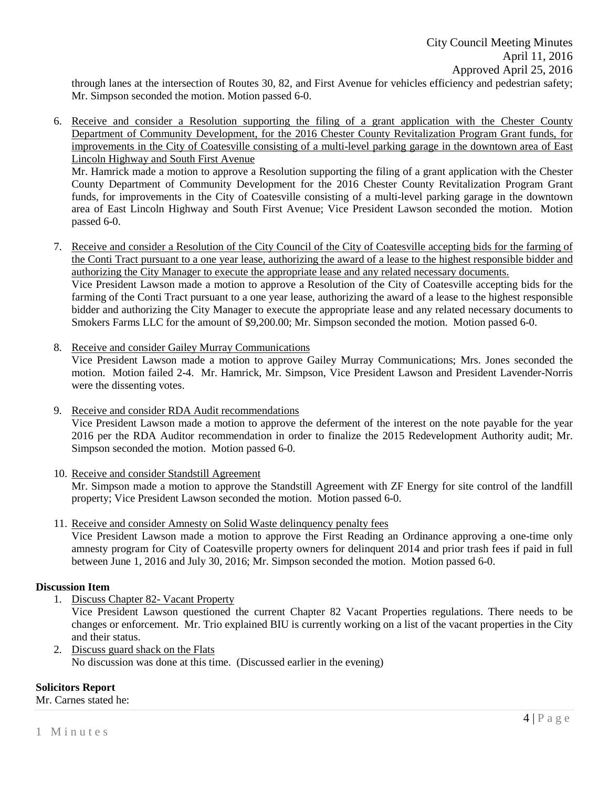through lanes at the intersection of Routes 30, 82, and First Avenue for vehicles efficiency and pedestrian safety; Mr. Simpson seconded the motion. Motion passed 6-0.

6. Receive and consider a Resolution supporting the filing of a grant application with the Chester County Department of Community Development, for the 2016 Chester County Revitalization Program Grant funds, for improvements in the City of Coatesville consisting of a multi-level parking garage in the downtown area of East Lincoln Highway and South First Avenue

Mr. Hamrick made a motion to approve a Resolution supporting the filing of a grant application with the Chester County Department of Community Development for the 2016 Chester County Revitalization Program Grant funds, for improvements in the City of Coatesville consisting of a multi-level parking garage in the downtown area of East Lincoln Highway and South First Avenue; Vice President Lawson seconded the motion. Motion passed 6-0.

- 7. Receive and consider a Resolution of the City Council of the City of Coatesville accepting bids for the farming of the Conti Tract pursuant to a one year lease, authorizing the award of a lease to the highest responsible bidder and authorizing the City Manager to execute the appropriate lease and any related necessary documents. Vice President Lawson made a motion to approve a Resolution of the City of Coatesville accepting bids for the farming of the Conti Tract pursuant to a one year lease, authorizing the award of a lease to the highest responsible bidder and authorizing the City Manager to execute the appropriate lease and any related necessary documents to Smokers Farms LLC for the amount of \$9,200.00; Mr. Simpson seconded the motion. Motion passed 6-0.
- 8. Receive and consider Gailey Murray Communications Vice President Lawson made a motion to approve Gailey Murray Communications; Mrs. Jones seconded the motion. Motion failed 2-4. Mr. Hamrick, Mr. Simpson, Vice President Lawson and President Lavender-Norris were the dissenting votes.
- 9. Receive and consider RDA Audit recommendations Vice President Lawson made a motion to approve the deferment of the interest on the note payable for the year 2016 per the RDA Auditor recommendation in order to finalize the 2015 Redevelopment Authority audit; Mr. Simpson seconded the motion. Motion passed 6-0.
- 10. Receive and consider Standstill Agreement Mr. Simpson made a motion to approve the Standstill Agreement with ZF Energy for site control of the landfill property; Vice President Lawson seconded the motion. Motion passed 6-0.
- 11. Receive and consider Amnesty on Solid Waste delinquency penalty fees Vice President Lawson made a motion to approve the First Reading an Ordinance approving a one-time only amnesty program for City of Coatesville property owners for delinquent 2014 and prior trash fees if paid in full between June 1, 2016 and July 30, 2016; Mr. Simpson seconded the motion. Motion passed 6-0.

# **Discussion Item**

1. Discuss Chapter 82- Vacant Property

Vice President Lawson questioned the current Chapter 82 Vacant Properties regulations. There needs to be changes or enforcement. Mr. Trio explained BIU is currently working on a list of the vacant properties in the City and their status.

2. Discuss guard shack on the Flats No discussion was done at this time. (Discussed earlier in the evening)

# **Solicitors Report**

Mr. Carnes stated he: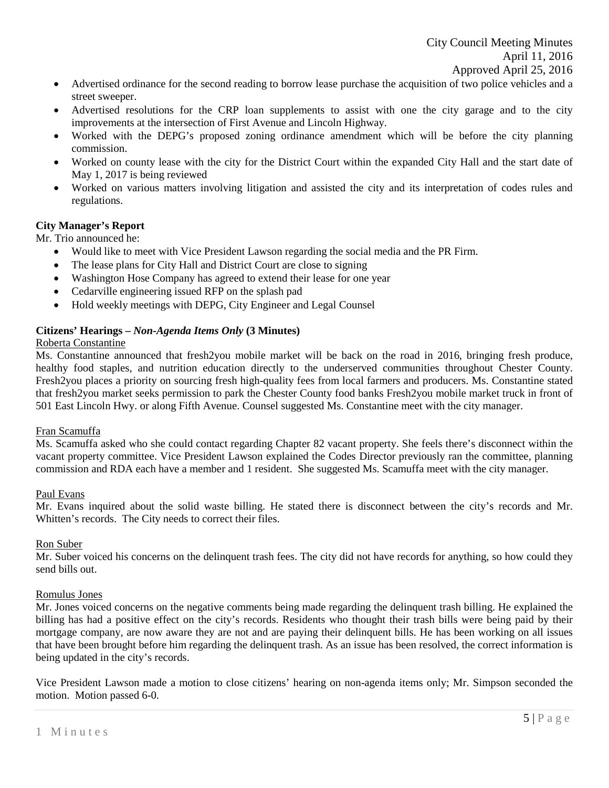- Advertised ordinance for the second reading to borrow lease purchase the acquisition of two police vehicles and a street sweeper.
- Advertised resolutions for the CRP loan supplements to assist with one the city garage and to the city improvements at the intersection of First Avenue and Lincoln Highway.
- Worked with the DEPG's proposed zoning ordinance amendment which will be before the city planning commission.
- Worked on county lease with the city for the District Court within the expanded City Hall and the start date of May 1, 2017 is being reviewed
- Worked on various matters involving litigation and assisted the city and its interpretation of codes rules and regulations.

# **City Manager's Report**

Mr. Trio announced he:

- Would like to meet with Vice President Lawson regarding the social media and the PR Firm.
- The lease plans for City Hall and District Court are close to signing
- Washington Hose Company has agreed to extend their lease for one year
- Cedarville engineering issued RFP on the splash pad
- Hold weekly meetings with DEPG, City Engineer and Legal Counsel

# **Citizens' Hearings –** *Non-Agenda Items Only* **(3 Minutes)**

# Roberta Constantine

Ms. Constantine announced that fresh2you mobile market will be back on the road in 2016, bringing fresh produce, healthy food staples, and nutrition education directly to the underserved communities throughout Chester County. Fresh2you places a priority on sourcing fresh high-quality fees from local farmers and producers. Ms. Constantine stated that fresh2you market seeks permission to park the Chester County food banks Fresh2you mobile market truck in front of 501 East Lincoln Hwy. or along Fifth Avenue. Counsel suggested Ms. Constantine meet with the city manager.

# Fran Scamuffa

Ms. Scamuffa asked who she could contact regarding Chapter 82 vacant property. She feels there's disconnect within the vacant property committee. Vice President Lawson explained the Codes Director previously ran the committee, planning commission and RDA each have a member and 1 resident. She suggested Ms. Scamuffa meet with the city manager.

### Paul Evans

Mr. Evans inquired about the solid waste billing. He stated there is disconnect between the city's records and Mr. Whitten's records. The City needs to correct their files.

### Ron Suber

Mr. Suber voiced his concerns on the delinquent trash fees. The city did not have records for anything, so how could they send bills out.

### Romulus Jones

Mr. Jones voiced concerns on the negative comments being made regarding the delinquent trash billing. He explained the billing has had a positive effect on the city's records. Residents who thought their trash bills were being paid by their mortgage company, are now aware they are not and are paying their delinquent bills. He has been working on all issues that have been brought before him regarding the delinquent trash. As an issue has been resolved, the correct information is being updated in the city's records.

Vice President Lawson made a motion to close citizens' hearing on non-agenda items only; Mr. Simpson seconded the motion. Motion passed 6-0.